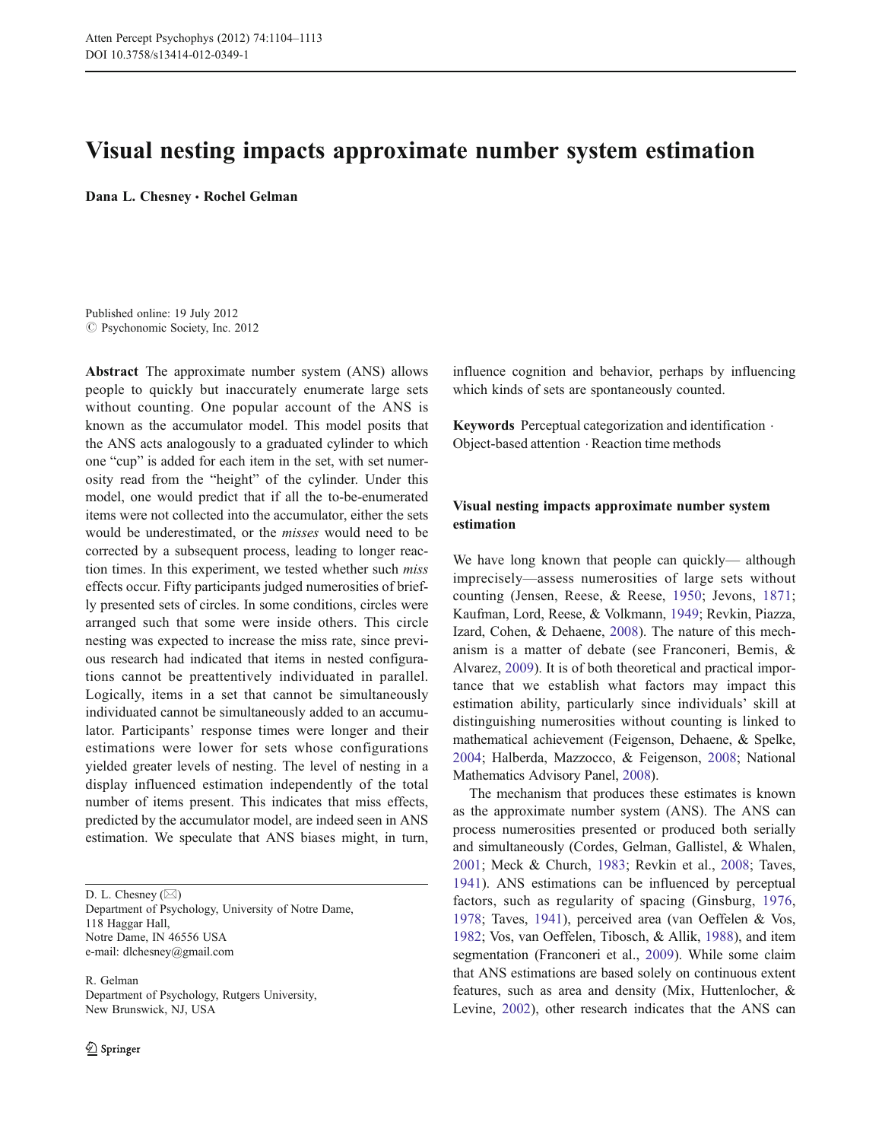# Visual nesting impacts approximate number system estimation

Dana L. Chesney · Rochel Gelman

Published online: 19 July 2012  $\odot$  Psychonomic Society, Inc. 2012

Abstract The approximate number system (ANS) allows people to quickly but inaccurately enumerate large sets without counting. One popular account of the ANS is known as the accumulator model. This model posits that the ANS acts analogously to a graduated cylinder to which one "cup" is added for each item in the set, with set numerosity read from the "height" of the cylinder. Under this model, one would predict that if all the to-be-enumerated items were not collected into the accumulator, either the sets would be underestimated, or the *misses* would need to be corrected by a subsequent process, leading to longer reaction times. In this experiment, we tested whether such miss effects occur. Fifty participants judged numerosities of briefly presented sets of circles. In some conditions, circles were arranged such that some were inside others. This circle nesting was expected to increase the miss rate, since previous research had indicated that items in nested configurations cannot be preattentively individuated in parallel. Logically, items in a set that cannot be simultaneously individuated cannot be simultaneously added to an accumulator. Participants' response times were longer and their estimations were lower for sets whose configurations yielded greater levels of nesting. The level of nesting in a display influenced estimation independently of the total number of items present. This indicates that miss effects, predicted by the accumulator model, are indeed seen in ANS estimation. We speculate that ANS biases might, in turn,

D. L. Chesney  $(\boxtimes)$ Department of Psychology, University of Notre Dame, 118 Haggar Hall, Notre Dame, IN 46556 USA e-mail: dlchesney@gmail.com

R. Gelman Department of Psychology, Rutgers University, New Brunswick, NJ, USA

influence cognition and behavior, perhaps by influencing which kinds of sets are spontaneously counted.

Keywords Perceptual categorization and identification . Object-based attention . Reaction time methods

## Visual nesting impacts approximate number system estimation

We have long known that people can quickly— although imprecisely—assess numerosities of large sets without counting (Jensen, Reese, & Reese, 1950; Jevons, 1871; Kaufman, Lord, Reese, & Volkmann, 1949; Revkin, Piazza, Izard, Cohen, & Dehaene, 2008). The nature of this mechanism is a matter of debate (see Franconeri, Bemis, & Alvarez, 2009). It is of both theoretical and practical importance that we establish what factors may impact this estimation ability, particularly since individuals' skill at distinguishing numerosities without counting is linked to mathematical achievement (Feigenson, Dehaene, & Spelke, 2004; Halberda, Mazzocco, & Feigenson, 2008; National Mathematics Advisory Panel, 2008).

The mechanism that produces these estimates is known as the approximate number system (ANS). The ANS can process numerosities presented or produced both serially and simultaneously (Cordes, Gelman, Gallistel, & Whalen, 2001; Meck & Church, 1983; Revkin et al., 2008; Taves, 1941). ANS estimations can be influenced by perceptual factors, such as regularity of spacing (Ginsburg, 1976, 1978; Taves, 1941), perceived area (van Oeffelen & Vos, 1982; Vos, van Oeffelen, Tibosch, & Allik, 1988), and item segmentation (Franconeri et al., 2009). While some claim that ANS estimations are based solely on continuous extent features, such as area and density (Mix, Huttenlocher, & Levine, 2002), other research indicates that the ANS can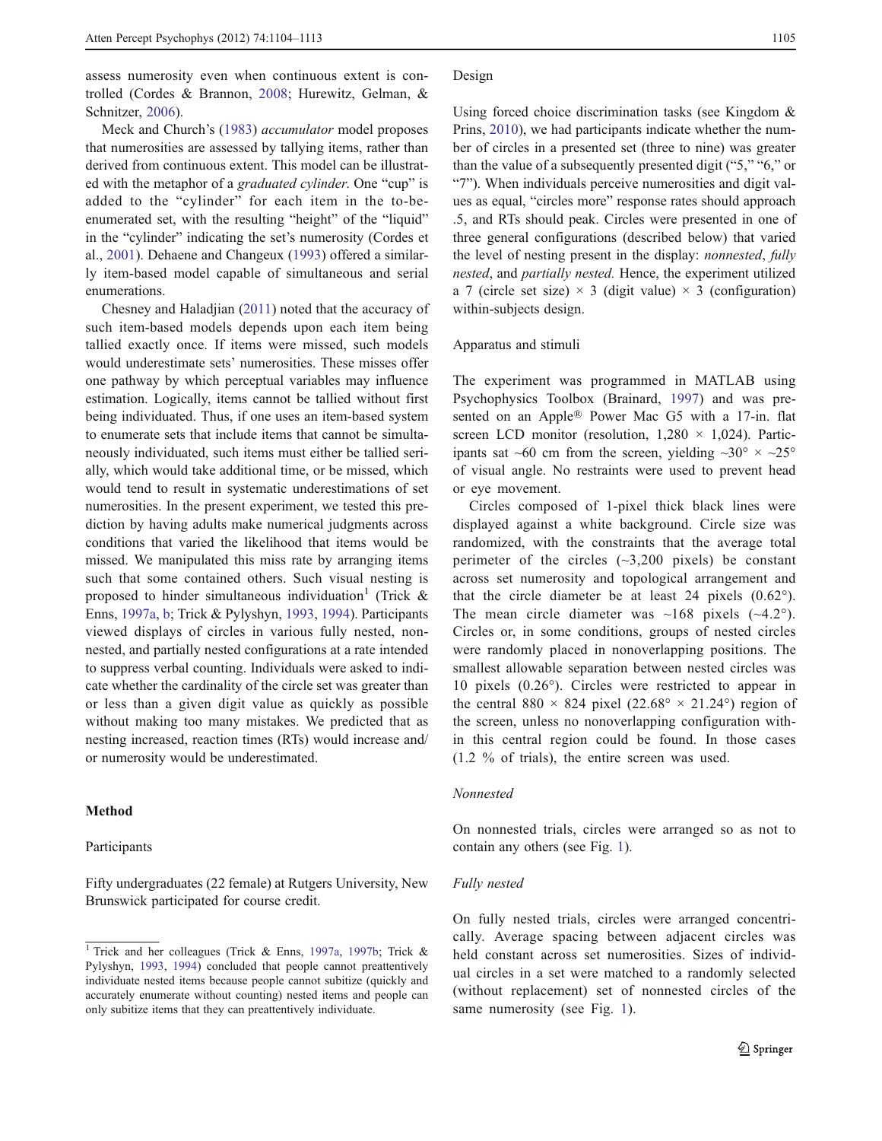assess numerosity even when continuous extent is controlled (Cordes & Brannon, 2008; Hurewitz, Gelman, & Schnitzer, 2006).

Meck and Church's (1983) accumulator model proposes that numerosities are assessed by tallying items, rather than derived from continuous extent. This model can be illustrated with the metaphor of a graduated cylinder. One "cup" is added to the "cylinder" for each item in the to-beenumerated set, with the resulting "height" of the "liquid" in the "cylinder" indicating the set's numerosity (Cordes et al., 2001). Dehaene and Changeux (1993) offered a similarly item-based model capable of simultaneous and serial enumerations.

Chesney and Haladjian (2011) noted that the accuracy of such item-based models depends upon each item being tallied exactly once. If items were missed, such models would underestimate sets' numerosities. These misses offer one pathway by which perceptual variables may influence estimation. Logically, items cannot be tallied without first being individuated. Thus, if one uses an item-based system to enumerate sets that include items that cannot be simultaneously individuated, such items must either be tallied serially, which would take additional time, or be missed, which would tend to result in systematic underestimations of set numerosities. In the present experiment, we tested this prediction by having adults make numerical judgments across conditions that varied the likelihood that items would be missed. We manipulated this miss rate by arranging items such that some contained others. Such visual nesting is proposed to hinder simultaneous individuation (Trick  $\&$ Enns, 1997a, b; Trick & Pylyshyn, 1993, 1994). Participants viewed displays of circles in various fully nested, nonnested, and partially nested configurations at a rate intended to suppress verbal counting. Individuals were asked to indicate whether the cardinality of the circle set was greater than or less than a given digit value as quickly as possible without making too many mistakes. We predicted that as nesting increased, reaction times (RTs) would increase and/ or numerosity would be underestimated.

## Method

#### Participants

Fifty undergraduates (22 female) at Rutgers University, New Brunswick participated for course credit.

Using forced choice discrimination tasks (see Kingdom & Prins, 2010), we had participants indicate whether the number of circles in a presented set (three to nine) was greater than the value of a subsequently presented digit ("5," "6," or "7"). When individuals perceive numerosities and digit values as equal, "circles more" response rates should approach .5, and RTs should peak. Circles were presented in one of three general configurations (described below) that varied the level of nesting present in the display: *nonnested*, *fully* nested, and *partially nested*. Hence, the experiment utilized a 7 (circle set size)  $\times$  3 (digit value)  $\times$  3 (configuration) within-subjects design.

#### Apparatus and stimuli

The experiment was programmed in MATLAB using Psychophysics Toolbox (Brainard, 1997) and was presented on an Apple® Power Mac G5 with a 17-in. flat screen LCD monitor (resolution,  $1,280 \times 1,024$ ). Participants sat ~60 cm from the screen, yielding ~30°  $\times$  ~25° of visual angle. No restraints were used to prevent head or eye movement.

Circles composed of 1-pixel thick black lines were displayed against a white background. Circle size was randomized, with the constraints that the average total perimeter of the circles  $(\sim 3,200)$  pixels) be constant across set numerosity and topological arrangement and that the circle diameter be at least 24 pixels  $(0.62^{\circ})$ . The mean circle diameter was  $\sim$ 168 pixels ( $\sim$ 4.2°). Circles or, in some conditions, groups of nested circles were randomly placed in nonoverlapping positions. The smallest allowable separation between nested circles was 10 pixels (0.26°). Circles were restricted to appear in the central 880  $\times$  824 pixel (22.68°  $\times$  21.24°) region of the screen, unless no nonoverlapping configuration within this central region could be found. In those cases (1.2 % of trials), the entire screen was used.

#### Nonnested

On nonnested trials, circles were arranged so as not to contain any others (see Fig. 1).

#### Fully nested

On fully nested trials, circles were arranged concentrically. Average spacing between adjacent circles was held constant across set numerosities. Sizes of individual circles in a set were matched to a randomly selected (without replacement) set of nonnested circles of the same numerosity (see Fig. 1).

<sup>1</sup> Trick and her colleagues (Trick & Enns, 1997a, 1997b; Trick & Pylyshyn, 1993, 1994) concluded that people cannot preattentively individuate nested items because people cannot subitize (quickly and accurately enumerate without counting) nested items and people can only subitize items that they can preattentively individuate.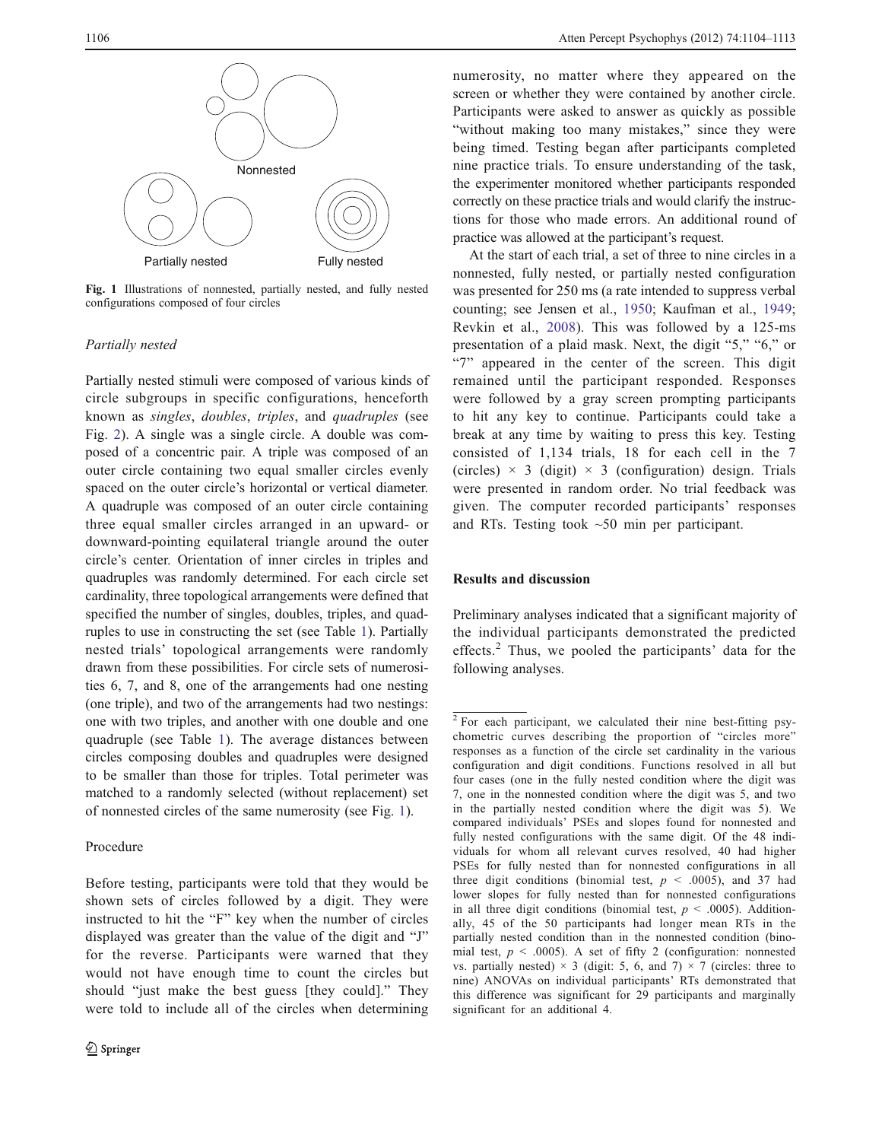

Fig. 1 Illustrations of nonnested, partially nested, and fully nested configurations composed of four circles

#### Partially nested

Partially nested stimuli were composed of various kinds of circle subgroups in specific configurations, henceforth known as singles, doubles, triples, and quadruples (see Fig. 2). A single was a single circle. A double was composed of a concentric pair. A triple was composed of an outer circle containing two equal smaller circles evenly spaced on the outer circle's horizontal or vertical diameter. A quadruple was composed of an outer circle containing three equal smaller circles arranged in an upward- or downward-pointing equilateral triangle around the outer circle's center. Orientation of inner circles in triples and quadruples was randomly determined. For each circle set cardinality, three topological arrangements were defined that specified the number of singles, doubles, triples, and quadruples to use in constructing the set (see Table 1). Partially nested trials' topological arrangements were randomly drawn from these possibilities. For circle sets of numerosities 6, 7, and 8, one of the arrangements had one nesting (one triple), and two of the arrangements had two nestings: one with two triples, and another with one double and one quadruple (see Table 1). The average distances between circles composing doubles and quadruples were designed to be smaller than those for triples. Total perimeter was matched to a randomly selected (without replacement) set of nonnested circles of the same numerosity (see Fig. 1).

## Procedure

Before testing, participants were told that they would be shown sets of circles followed by a digit. They were instructed to hit the "F" key when the number of circles displayed was greater than the value of the digit and "J" for the reverse. Participants were warned that they would not have enough time to count the circles but should "just make the best guess [they could]." They were told to include all of the circles when determining numerosity, no matter where they appeared on the screen or whether they were contained by another circle. Participants were asked to answer as quickly as possible "without making too many mistakes," since they were being timed. Testing began after participants completed nine practice trials. To ensure understanding of the task, the experimenter monitored whether participants responded correctly on these practice trials and would clarify the instructions for those who made errors. An additional round of practice was allowed at the participant's request.

At the start of each trial, a set of three to nine circles in a nonnested, fully nested, or partially nested configuration was presented for 250 ms (a rate intended to suppress verbal counting; see Jensen et al., 1950; Kaufman et al., 1949; Revkin et al., 2008). This was followed by a 125-ms presentation of a plaid mask. Next, the digit "5," "6," or "7" appeared in the center of the screen. This digit remained until the participant responded. Responses were followed by a gray screen prompting participants to hit any key to continue. Participants could take a break at any time by waiting to press this key. Testing consisted of 1,134 trials, 18 for each cell in the 7 (circles)  $\times$  3 (digit)  $\times$  3 (configuration) design. Trials were presented in random order. No trial feedback was given. The computer recorded participants' responses and RTs. Testing took ~50 min per participant.

## Results and discussion

Preliminary analyses indicated that a significant majority of the individual participants demonstrated the predicted effects.<sup>2</sup> Thus, we pooled the participants' data for the following analyses.

<sup>&</sup>lt;sup>2</sup> For each participant, we calculated their nine best-fitting psychometric curves describing the proportion of "circles more" responses as a function of the circle set cardinality in the various configuration and digit conditions. Functions resolved in all but four cases (one in the fully nested condition where the digit was 7, one in the nonnested condition where the digit was 5, and two in the partially nested condition where the digit was 5). We compared individuals' PSEs and slopes found for nonnested and fully nested configurations with the same digit. Of the 48 individuals for whom all relevant curves resolved, 40 had higher PSEs for fully nested than for nonnested configurations in all three digit conditions (binomial test,  $p < .0005$ ), and 37 had lower slopes for fully nested than for nonnested configurations in all three digit conditions (binomial test,  $p < .0005$ ). Additionally, 45 of the 50 participants had longer mean RTs in the partially nested condition than in the nonnested condition (binomial test,  $p < .0005$ ). A set of fifty 2 (configuration: nonnested vs. partially nested)  $\times$  3 (digit: 5, 6, and 7)  $\times$  7 (circles: three to nine) ANOVAs on individual participants' RTs demonstrated that this difference was significant for 29 participants and marginally significant for an additional 4.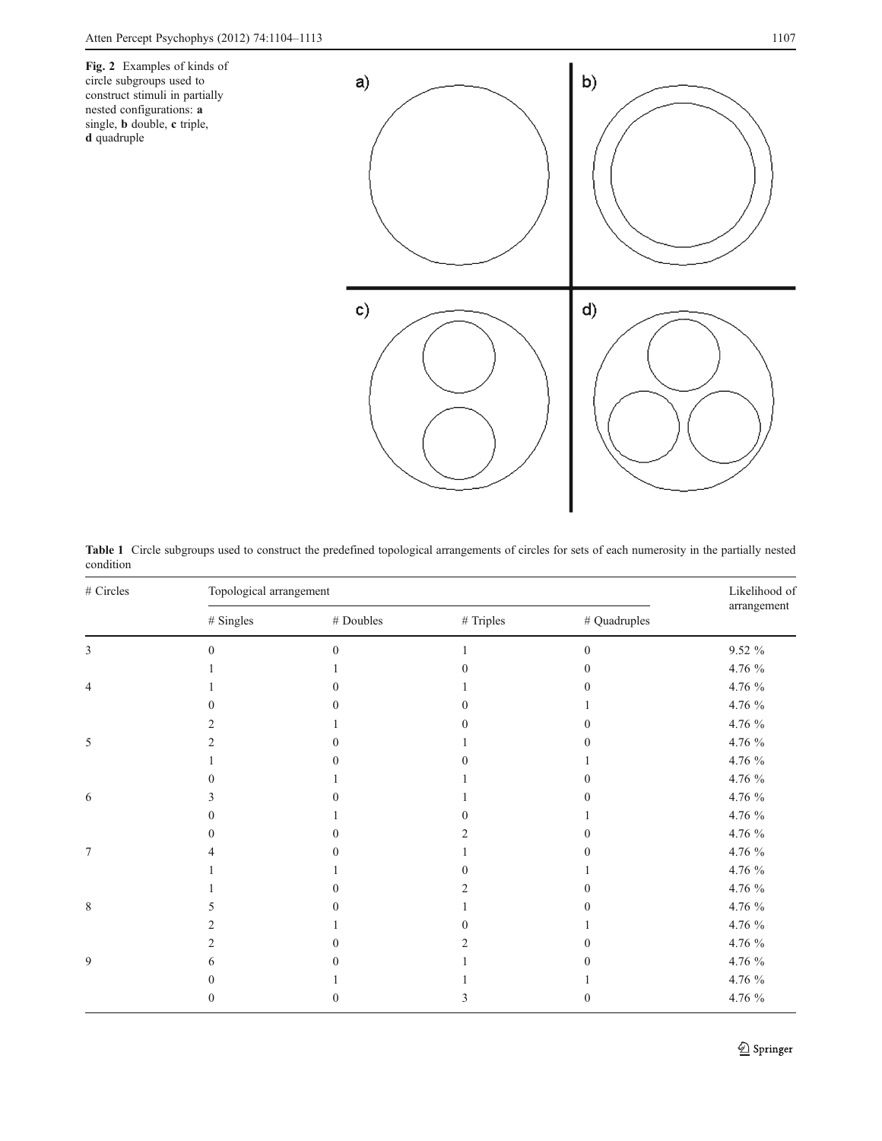Fig. 2 Examples of kinds of circle subgroups used to construct stimuli in partially nested configurations: a single, b double, c triple, d quadruple



Table 1 Circle subgroups used to construct the predefined topological arrangements of circles for sets of each numerosity in the partially nested condition

| $\#$ Circles   | Topological arrangement | Likelihood of     |             |                 |             |
|----------------|-------------------------|-------------------|-------------|-----------------|-------------|
|                | $\#$ Singles            | $\#$ Doubles      | $#$ Triples | $\#$ Quadruples | arrangement |
| 3              | $\Omega$                | $\theta$          |             | $\Omega$        | $9.52\%$    |
|                |                         |                   |             | 0               | 4.76 %      |
| $\overline{4}$ |                         |                   |             |                 | 4.76 %      |
|                |                         |                   |             |                 | 4.76 %      |
|                |                         |                   |             |                 | 4.76 %      |
| 5              |                         | $\mathbf{\Omega}$ |             |                 | 4.76 %      |
|                |                         |                   |             |                 | 4.76 %      |
|                |                         |                   |             |                 | 4.76 %      |
| 6              |                         |                   |             |                 | 4.76 %      |
|                |                         |                   |             |                 | 4.76 %      |
|                | 0                       |                   |             | 0               | 4.76 %      |
| $\tau$         |                         |                   |             |                 | 4.76 %      |
|                |                         |                   |             |                 | 4.76 %      |
|                |                         |                   |             |                 | 4.76 %      |
| 8              |                         |                   |             |                 | 4.76 %      |
|                |                         |                   |             |                 | 4.76 %      |
|                |                         | $\mathbf{\Omega}$ |             |                 | 4.76 %      |
| 9              | 6                       |                   |             |                 | 4.76 %      |
|                |                         |                   |             |                 | 4.76 %      |
|                | 0                       | $\theta$          | 3           | 0               | 4.76 %      |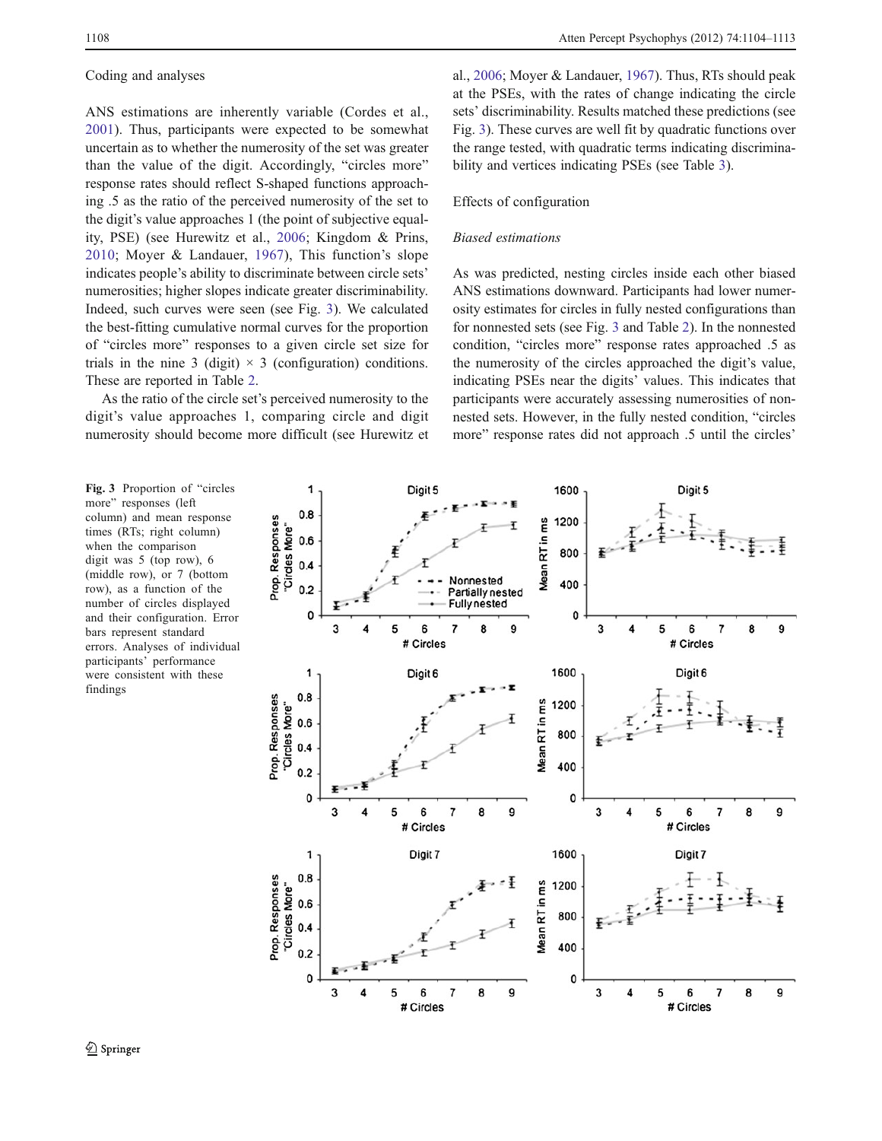ANS estimations are inherently variable (Cordes et al., 2001). Thus, participants were expected to be somewhat uncertain as to whether the numerosity of the set was greater than the value of the digit. Accordingly, "circles more" response rates should reflect S-shaped functions approaching .5 as the ratio of the perceived numerosity of the set to the digit's value approaches 1 (the point of subjective equality, PSE) (see Hurewitz et al., 2006; Kingdom & Prins, 2010; Moyer & Landauer, 1967), This function's slope indicates people's ability to discriminate between circle sets' numerosities; higher slopes indicate greater discriminability. Indeed, such curves were seen (see Fig. 3). We calculated the best-fitting cumulative normal curves for the proportion of "circles more" responses to a given circle set size for trials in the nine 3 (digit)  $\times$  3 (configuration) conditions. These are reported in Table 2.

As the ratio of the circle set's perceived numerosity to the digit's value approaches 1, comparing circle and digit numerosity should become more difficult (see Hurewitz et al., 2006; Moyer & Landauer, 1967). Thus, RTs should peak at the PSEs, with the rates of change indicating the circle sets' discriminability. Results matched these predictions (see Fig. 3). These curves are well fit by quadratic functions over the range tested, with quadratic terms indicating discriminability and vertices indicating PSEs (see Table 3).

## Effects of configuration

## Biased estimations

As was predicted, nesting circles inside each other biased ANS estimations downward. Participants had lower numerosity estimates for circles in fully nested configurations than for nonnested sets (see Fig. 3 and Table 2). In the nonnested condition, "circles more" response rates approached .5 as the numerosity of the circles approached the digit's value, indicating PSEs near the digits' values. This indicates that participants were accurately assessing numerosities of nonnested sets. However, in the fully nested condition, "circles more" response rates did not approach .5 until the circles'

Fig. 3 Proportion of "circles more" responses (left column) and mean response times (RTs; right column) when the comparison digit was 5 (top row), 6 (middle row), or 7 (bottom row), as a function of the number of circles displayed and their configuration. Error bars represent standard errors. Analyses of individual participants' performance were consistent with these findings

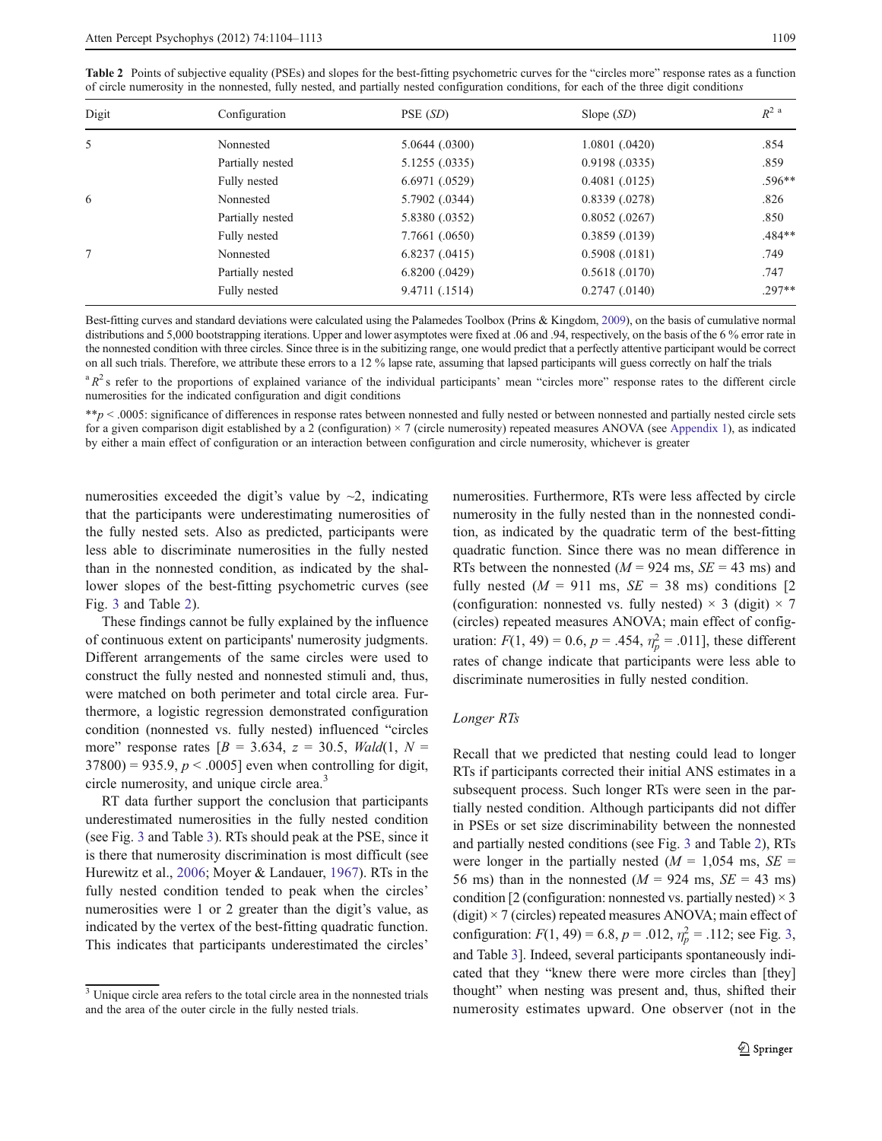| Table 2 Points of subjective equality (PSEs) and slopes for the best-fitting psychometric curves for the "circles more" response rates as a function |  |  |  |  |
|------------------------------------------------------------------------------------------------------------------------------------------------------|--|--|--|--|
| of circle numerosity in the nonnested, fully nested, and partially nested configuration conditions, for each of the three digit conditions           |  |  |  |  |

| Digit | Configuration    | PSE (SD)       | Slope $(SD)$       | $R^2$ <sup>a</sup> |
|-------|------------------|----------------|--------------------|--------------------|
| 5     | Nonnested        | 5.0644(.0300)  | 1.0801(.0420)      | .854               |
|       | Partially nested | 5.1255 (.0335) | 0.9198(.0335)      | .859               |
|       | Fully nested     | 6.6971(.0529)  | 0.4081(.0125)      | $.596**$           |
| 6     | Nonnested        | 5.7902 (.0344) | 0.8339(0.0278)     | .826               |
|       | Partially nested | 5.8380 (.0352) | 0.8052(.0267)      | .850               |
|       | Fully nested     | 7.7661 (.0650) | 0.3859(0.0139)     | $.484**$           |
|       | Nonnested        | 6.8237(.0415)  | 0.5908(.0181)      | .749               |
|       | Partially nested | 6.8200(.0429)  | 0.5618(.0170)      | .747               |
|       | Fully nested     | 9.4711 (.1514) | $0.2747$ $(.0140)$ | $.297**$           |

Best-fitting curves and standard deviations were calculated using the Palamedes Toolbox (Prins & Kingdom, 2009), on the basis of cumulative normal distributions and 5,000 bootstrapping iterations. Upper and lower asymptotes were fixed at .06 and .94, respectively, on the basis of the 6 % error rate in the nonnested condition with three circles. Since three is in the subitizing range, one would predict that a perfectly attentive participant would be correct on all such trials. Therefore, we attribute these errors to a 12 % lapse rate, assuming that lapsed participants will guess correctly on half the trials

 $a^2R^2$  s refer to the proportions of explained variance of the individual participants' mean "circles more" response rates to the different circle numerosities for the indicated configuration and digit conditions

 $*p < .0005$ : significance of differences in response rates between nonnested and fully nested or between nonnested and partially nested circle sets for a given comparison digit established by a 2 (configuration)  $\times$  7 (circle numerosity) repeated measures ANOVA (see Appendix 1), as indicated by either a main effect of configuration or an interaction between configuration and circle numerosity, whichever is greater

numerosities exceeded the digit's value by  $\sim$ 2, indicating that the participants were underestimating numerosities of the fully nested sets. Also as predicted, participants were less able to discriminate numerosities in the fully nested than in the nonnested condition, as indicated by the shallower slopes of the best-fitting psychometric curves (see Fig. 3 and Table 2).

These findings cannot be fully explained by the influence of continuous extent on participants' numerosity judgments. Different arrangements of the same circles were used to construct the fully nested and nonnested stimuli and, thus, were matched on both perimeter and total circle area. Furthermore, a logistic regression demonstrated configuration condition (nonnested vs. fully nested) influenced "circles more" response rates  $[B = 3.634, z = 30.5, \text{ Wald}(1, N =$  $37800$ ) = 935.9,  $p < .0005$ ] even when controlling for digit, circle numerosity, and unique circle area.<sup>3</sup>

RT data further support the conclusion that participants underestimated numerosities in the fully nested condition (see Fig. 3 and Table 3). RTs should peak at the PSE, since it is there that numerosity discrimination is most difficult (see Hurewitz et al., 2006; Moyer & Landauer, 1967). RTs in the fully nested condition tended to peak when the circles' numerosities were 1 or 2 greater than the digit's value, as indicated by the vertex of the best-fitting quadratic function. This indicates that participants underestimated the circles' numerosities. Furthermore, RTs were less affected by circle numerosity in the fully nested than in the nonnested condition, as indicated by the quadratic term of the best-fitting quadratic function. Since there was no mean difference in RTs between the nonnested ( $M = 924$  ms,  $SE = 43$  ms) and fully nested ( $M = 911$  ms,  $SE = 38$  ms) conditions [2 (configuration: nonnested vs. fully nested)  $\times$  3 (digit)  $\times$  7 (circles) repeated measures ANOVA; main effect of configuration:  $F(1, 49) = 0.6$ ,  $p = .454$ ,  $\eta_p^2 = .011$ , these different rates of change indicate that participants were less able to discriminate numerosities in fully nested condition.

#### Longer RTs

Recall that we predicted that nesting could lead to longer RTs if participants corrected their initial ANS estimates in a subsequent process. Such longer RTs were seen in the partially nested condition. Although participants did not differ in PSEs or set size discriminability between the nonnested and partially nested conditions (see Fig. 3 and Table 2), RTs were longer in the partially nested ( $M = 1,054$  ms,  $SE =$ 56 ms) than in the nonnested ( $M = 924$  ms,  $SE = 43$  ms) condition [2 (configuration: nonnested vs. partially nested)  $\times$  3  $(digit) \times 7$  (circles) repeated measures ANOVA; main effect of configuration:  $F(1, 49) = 6.8$ ,  $p = .012$ ,  $\eta_p^2 = .112$ ; see Fig. 3, and Table 3]. Indeed, several participants spontaneously indicated that they "knew there were more circles than [they] thought" when nesting was present and, thus, shifted their numerosity estimates upward. One observer (not in the

<sup>&</sup>lt;sup>3</sup> Unique circle area refers to the total circle area in the nonnested trials and the area of the outer circle in the fully nested trials.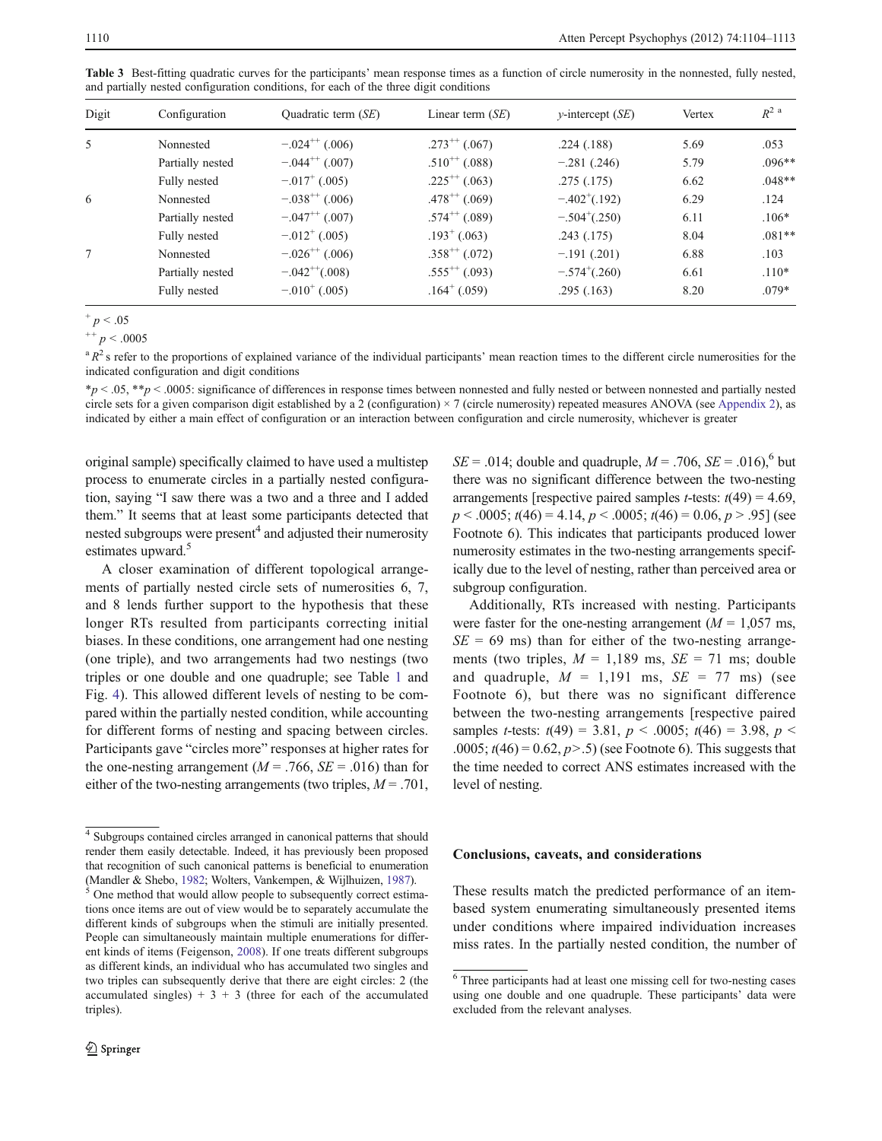| Digit | Configuration    | Quadratic term (SE) | Linear term $(SE)$ | $v$ -intercept ( <i>SE</i> ) | Vertex | $R^2$ <sup>a</sup> |
|-------|------------------|---------------------|--------------------|------------------------------|--------|--------------------|
| 5     | Nonnested        | $-.024^{++}(.006)$  | $.273^{++}$ (.067) | .224(.188)                   | 5.69   | .053               |
|       | Partially nested | $-.044^{++}(.007)$  | $.510^{++}$ (.088) | $-.281(.246)$                | 5.79   | $.096**$           |
|       | Fully nested     | $-.017^+$ (.005)    | $.225^{++}$ (.063) | .275(.175)                   | 6.62   | $.048**$           |
| 6     | Nonnested        | $-.038^{++}(.006)$  | $.478^{++}$ (.069) | $-.402^{+}(.192)$            | 6.29   | .124               |
|       | Partially nested | $-.047^{++}(.007)$  | $.574^{++}$ (.089) | $-.504^{+}(.250)$            | 6.11   | $.106*$            |
|       | Fully nested     | $-.012^{+}(.005)$   | $.193^{+}$ (.063)  | .243(.175)                   | 8.04   | $.081**$           |
|       | Nonnested        | $-.026^{++}$ (.006) | $.358^{++}$ (.072) | $-.191(.201)$                | 6.88   | .103               |
|       | Partially nested | $-.042^{++}(.008)$  | $.555^{++}$ (.093) | $-.574^{+}(.260)$            | 6.61   | $.110*$            |
|       | Fully nested     | $-.010^{+}$ (.005)  | $.164^{+}$ (.059)  | .295(.163)                   | 8.20   | $.079*$            |

Table 3 Best-fitting quadratic curves for the participants' mean response times as a function of circle numerosity in the nonnested, fully nested, and partially nested configuration conditions, for each of the three digit conditions

 $^{+}p < .05$ 

 $^{++}$  p < .0005

 ${}^{a}R^{2}$  s refer to the proportions of explained variance of the individual participants' mean reaction times to the different circle numerosities for the indicated configuration and digit conditions

 $*_p$  < .05,  $*_p$  < .0005: significance of differences in response times between nonnested and fully nested or between nonnested and partially nested circle sets for a given comparison digit established by a 2 (configuration)  $\times$  7 (circle numerosity) repeated measures ANOVA (see Appendix 2), as indicated by either a main effect of configuration or an interaction between configuration and circle numerosity, whichever is greater

original sample) specifically claimed to have used a multistep process to enumerate circles in a partially nested configuration, saying "I saw there was a two and a three and I added them." It seems that at least some participants detected that nested subgroups were present<sup>4</sup> and adjusted their numerosity estimates upward.<sup>5</sup>

A closer examination of different topological arrangements of partially nested circle sets of numerosities 6, 7, and 8 lends further support to the hypothesis that these longer RTs resulted from participants correcting initial biases. In these conditions, one arrangement had one nesting (one triple), and two arrangements had two nestings (two triples or one double and one quadruple; see Table 1 and Fig. 4). This allowed different levels of nesting to be compared within the partially nested condition, while accounting for different forms of nesting and spacing between circles. Participants gave "circles more" responses at higher rates for the one-nesting arrangement ( $M = .766$ ,  $SE = .016$ ) than for either of the two-nesting arrangements (two triples,  $M = .701$ ,

 $SE = .014$ ; double and quadruple,  $M = .706$ ,  $SE = .016$ ),<sup>6</sup> but there was no significant difference between the two-nesting arrangements [respective paired samples *t*-tests:  $t(49) = 4.69$ ,  $p < .0005$ ;  $t(46) = 4.14$ ,  $p < .0005$ ;  $t(46) = 0.06$ ,  $p > .95$ ] (see Footnote 6). This indicates that participants produced lower numerosity estimates in the two-nesting arrangements specifically due to the level of nesting, rather than perceived area or subgroup configuration.

Additionally, RTs increased with nesting. Participants were faster for the one-nesting arrangement ( $M = 1,057$  ms,  $SE = 69$  ms) than for either of the two-nesting arrangements (two triples,  $M = 1,189$  ms,  $SE = 71$  ms; double and quadruple,  $M = 1,191$  ms,  $SE = 77$  ms) (see Footnote 6), but there was no significant difference between the two-nesting arrangements [respective paired samples *t*-tests:  $t(49) = 3.81$ ,  $p < .0005$ ;  $t(46) = 3.98$ ,  $p <$ .0005;  $t(46) = 0.62$ ,  $p > .5$ ) (see Footnote 6). This suggests that the time needed to correct ANS estimates increased with the level of nesting.

#### Conclusions, caveats, and considerations

These results match the predicted performance of an itembased system enumerating simultaneously presented items under conditions where impaired individuation increases miss rates. In the partially nested condition, the number of

<sup>4</sup> Subgroups contained circles arranged in canonical patterns that should render them easily detectable. Indeed, it has previously been proposed that recognition of such canonical patterns is beneficial to enumeration (Mandler & Shebo, 1982; Wolters, Vankempen, & Wijlhuizen, 1987).

 $<sup>5</sup>$  One method that would allow people to subsequently correct estima-</sup> tions once items are out of view would be to separately accumulate the different kinds of subgroups when the stimuli are initially presented. People can simultaneously maintain multiple enumerations for different kinds of items (Feigenson, 2008). If one treats different subgroups as different kinds, an individual who has accumulated two singles and two triples can subsequently derive that there are eight circles: 2 (the accumulated singles) +  $3 + 3$  (three for each of the accumulated triples).

<sup>6</sup> Three participants had at least one missing cell for two-nesting cases using one double and one quadruple. These participants' data were excluded from the relevant analyses.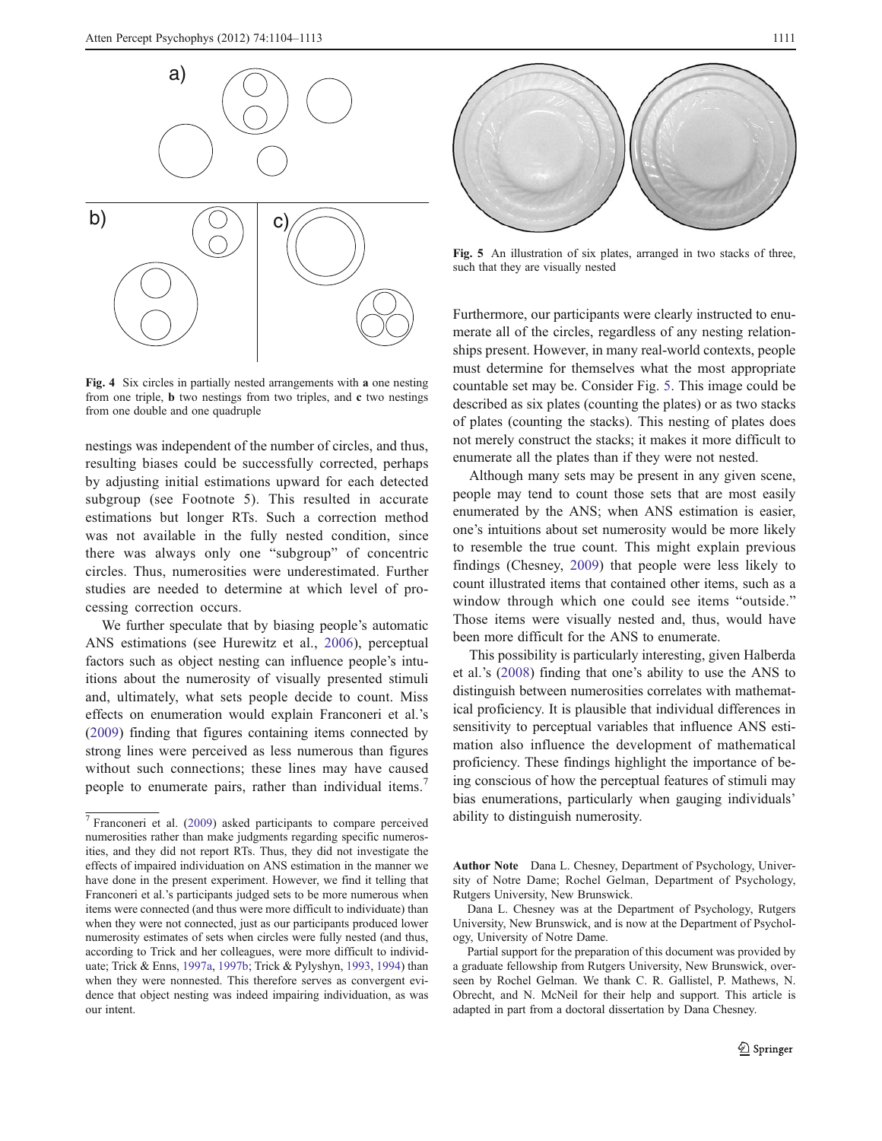

Fig. 4 Six circles in partially nested arrangements with a one nesting from one triple, b two nestings from two triples, and c two nestings from one double and one quadruple

nestings was independent of the number of circles, and thus, resulting biases could be successfully corrected, perhaps by adjusting initial estimations upward for each detected subgroup (see Footnote 5). This resulted in accurate estimations but longer RTs. Such a correction method was not available in the fully nested condition, since there was always only one "subgroup" of concentric circles. Thus, numerosities were underestimated. Further studies are needed to determine at which level of processing correction occurs.

We further speculate that by biasing people's automatic ANS estimations (see Hurewitz et al., 2006), perceptual factors such as object nesting can influence people's intuitions about the numerosity of visually presented stimuli and, ultimately, what sets people decide to count. Miss effects on enumeration would explain Franconeri et al.'s (2009) finding that figures containing items connected by strong lines were perceived as less numerous than figures without such connections; these lines may have caused people to enumerate pairs, rather than individual items.<sup>7</sup>



Fig. 5 An illustration of six plates, arranged in two stacks of three, such that they are visually nested

Furthermore, our participants were clearly instructed to enumerate all of the circles, regardless of any nesting relationships present. However, in many real-world contexts, people must determine for themselves what the most appropriate countable set may be. Consider Fig. 5. This image could be described as six plates (counting the plates) or as two stacks of plates (counting the stacks). This nesting of plates does not merely construct the stacks; it makes it more difficult to enumerate all the plates than if they were not nested.

Although many sets may be present in any given scene, people may tend to count those sets that are most easily enumerated by the ANS; when ANS estimation is easier, one's intuitions about set numerosity would be more likely to resemble the true count. This might explain previous findings (Chesney, 2009) that people were less likely to count illustrated items that contained other items, such as a window through which one could see items "outside." Those items were visually nested and, thus, would have been more difficult for the ANS to enumerate.

This possibility is particularly interesting, given Halberda et al.'s (2008) finding that one's ability to use the ANS to distinguish between numerosities correlates with mathematical proficiency. It is plausible that individual differences in sensitivity to perceptual variables that influence ANS estimation also influence the development of mathematical proficiency. These findings highlight the importance of being conscious of how the perceptual features of stimuli may bias enumerations, particularly when gauging individuals' ability to distinguish numerosity.

Author Note Dana L. Chesney, Department of Psychology, University of Notre Dame; Rochel Gelman, Department of Psychology, Rutgers University, New Brunswick.

 $7$  Franconeri et al. (2009) asked participants to compare perceived numerosities rather than make judgments regarding specific numerosities, and they did not report RTs. Thus, they did not investigate the effects of impaired individuation on ANS estimation in the manner we have done in the present experiment. However, we find it telling that Franconeri et al.'s participants judged sets to be more numerous when items were connected (and thus were more difficult to individuate) than when they were not connected, just as our participants produced lower numerosity estimates of sets when circles were fully nested (and thus, according to Trick and her colleagues, were more difficult to individuate; Trick & Enns, 1997a, 1997b; Trick & Pylyshyn, 1993, 1994) than when they were nonnested. This therefore serves as convergent evidence that object nesting was indeed impairing individuation, as was our intent.

Dana L. Chesney was at the Department of Psychology, Rutgers University, New Brunswick, and is now at the Department of Psychology, University of Notre Dame.

Partial support for the preparation of this document was provided by a graduate fellowship from Rutgers University, New Brunswick, overseen by Rochel Gelman. We thank C. R. Gallistel, P. Mathews, N. Obrecht, and N. McNeil for their help and support. This article is adapted in part from a doctoral dissertation by Dana Chesney.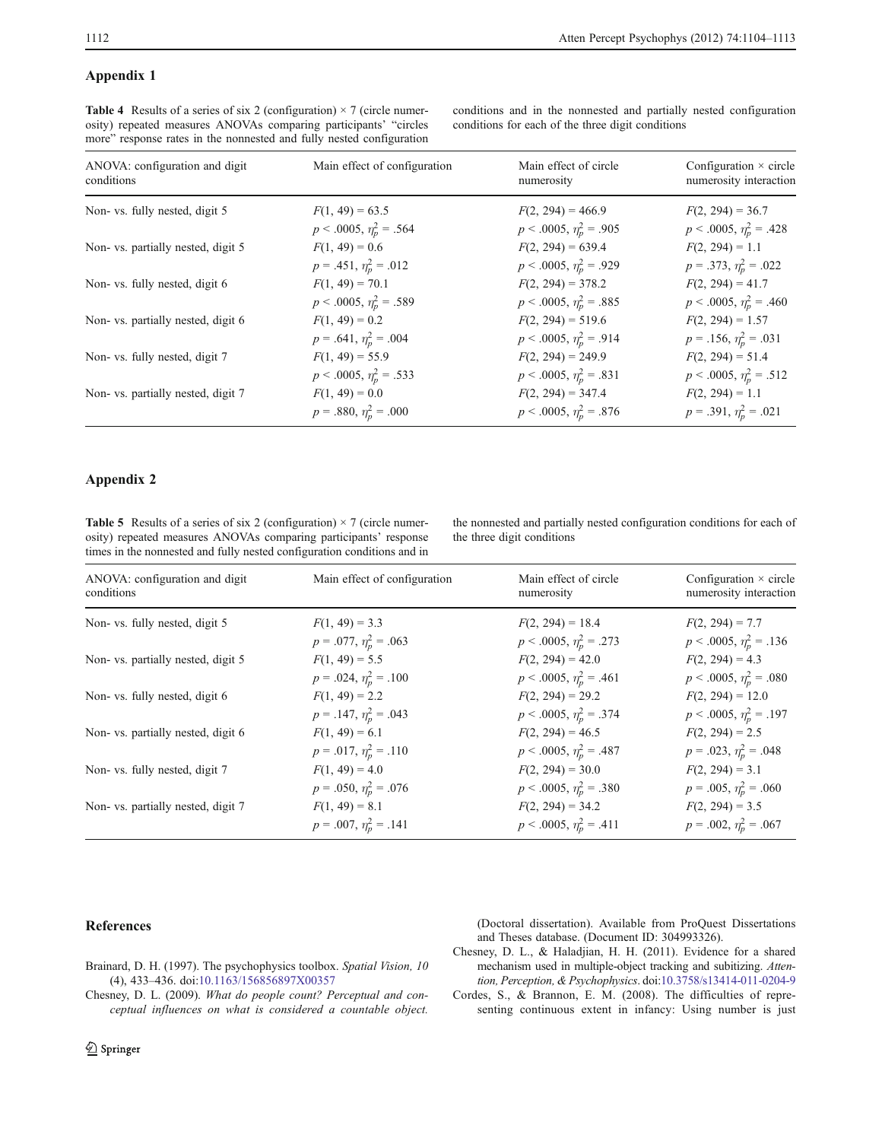# Appendix 1

**Table 4** Results of a series of six 2 (configuration)  $\times$  7 (circle numerosity) repeated measures ANOVAs comparing participants' "circles more" response rates in the nonnested and fully nested configuration

conditions and in the nonnested and partially nested configuration conditions for each of the three digit conditions

| ANOVA: configuration and digit<br>conditions | Main effect of configuration | Main effect of circle<br>numerosity | Configuration $\times$ circle<br>numerosity interaction |
|----------------------------------------------|------------------------------|-------------------------------------|---------------------------------------------------------|
| Non- vs. fully nested, digit 5               | $F(1, 49) = 63.5$            | $F(2, 294) = 466.9$                 | $F(2, 294) = 36.7$                                      |
|                                              | $p < .0005, \eta_p^2 = .564$ | $p < .0005, \eta_p^2 = .905$        | $p < .0005, \eta_p^2 = .428$                            |
| Non- vs. partially nested, digit 5           | $F(1, 49) = 0.6$             | $F(2, 294) = 639.4$                 | $F(2, 294) = 1.1$                                       |
|                                              | $p = .451, \eta_p^2 = .012$  | $p < .0005, \eta_n^2 = .929$        | $p = .373, \eta_p^2 = .022$                             |
| Non- vs. fully nested, digit 6               | $F(1, 49) = 70.1$            | $F(2, 294) = 378.2$                 | $F(2, 294) = 41.7$                                      |
|                                              | $p < .0005, \eta_n^2 = .589$ | $p < .0005, \eta_p^2 = .885$        | $p < .0005, \eta_p^2 = .460$                            |
| Non- vs. partially nested, digit 6           | $F(1, 49) = 0.2$             | $F(2, 294) = 519.6$                 | $F(2, 294) = 1.57$                                      |
|                                              | $p = .641, \eta_p^2 = .004$  | $p < .0005, \eta_n^2 = .914$        | $p = .156, \eta_p^2 = .031$                             |
| Non- vs. fully nested, digit 7               | $F(1, 49) = 55.9$            | $F(2, 294) = 249.9$                 | $F(2, 294) = 51.4$                                      |
|                                              | $p < .0005, \eta_p^2 = .533$ | $p < .0005, \eta_p^2 = .831$        | $p < .0005, \eta_p^2 = .512$                            |
| Non- vs. partially nested, digit 7           | $F(1, 49) = 0.0$             | $F(2, 294) = 347.4$                 | $F(2, 294) = 1.1$                                       |
|                                              | $p = .880, \eta_p^2 = .000$  | $p < .0005, \eta_p^2 = .876$        | $p = .391, \eta_p^2 = .021$                             |

## Appendix 2

**Table 5** Results of a series of six 2 (configuration)  $\times$  7 (circle numerosity) repeated measures ANOVAs comparing participants' response times in the nonnested and fully nested configuration conditions and in the nonnested and partially nested configuration conditions for each of the three digit conditions

| ANOVA: configuration and digit<br>conditions | Main effect of configuration | Main effect of circle<br>numerosity | Configuration $\times$ circle<br>numerosity interaction |
|----------------------------------------------|------------------------------|-------------------------------------|---------------------------------------------------------|
| Non- vs. fully nested, digit 5               | $F(1, 49) = 3.3$             | $F(2, 294) = 18.4$                  | $F(2, 294) = 7.7$                                       |
|                                              | $p = .077, \eta_p^2 = .063$  | $p < .0005, \eta_p^2 = .273$        | $p < .0005, \eta_p^2 = .136$                            |
| Non- vs. partially nested, digit 5           | $F(1, 49) = 5.5$             | $F(2, 294) = 42.0$                  | $F(2, 294) = 4.3$                                       |
|                                              | $p = .024, \eta_p^2 = .100$  | $p < .0005, \eta_p^2 = .461$        | $p < .0005, \eta_p^2 = .080$                            |
| Non- vs. fully nested, digit 6               | $F(1, 49) = 2.2$             | $F(2, 294) = 29.2$                  | $F(2, 294) = 12.0$                                      |
|                                              | $p = .147, \eta_n^2 = .043$  | $p < .0005, \eta_n^2 = .374$        | $p < .0005, \eta_n^2 = .197$                            |
| Non- vs. partially nested, digit 6           | $F(1, 49) = 6.1$             | $F(2, 294) = 46.5$                  | $F(2, 294) = 2.5$                                       |
|                                              | $p = .017, \eta_p^2 = .110$  | $p < .0005, \eta_p^2 = .487$        | $p = .023, \eta_p^2 = .048$                             |
| Non- vs. fully nested, digit 7               | $F(1, 49) = 4.0$             | $F(2, 294) = 30.0$                  | $F(2, 294) = 3.1$                                       |
|                                              | $p = .050, \eta_p^2 = .076$  | $p < .0005, \eta_p^2 = .380$        | $p = .005, \eta_p^2 = .060$                             |
| Non- vs. partially nested, digit 7           | $F(1, 49) = 8.1$             | $F(2, 294) = 34.2$                  | $F(2, 294) = 3.5$                                       |
|                                              | $p = .007, \eta_p^2 = .141$  | $p < .0005, \eta_n^2 = .411$        | $p = .002, \eta_p^2 = .067$                             |

## References

- Brainard, D. H. (1997). The psychophysics toolbox. Spatial Vision, 10 (4), 433–436. doi:10.1163/156856897X00357
- Chesney, D. L. (2009). What do people count? Perceptual and conceptual influences on what is considered a countable object.

(Doctoral dissertation). Available from ProQuest Dissertations and Theses database. (Document ID: 304993326).

- Chesney, D. L., & Haladjian, H. H. (2011). Evidence for a shared mechanism used in multiple-object tracking and subitizing. Attention, Perception, & Psychophysics. doi:10.3758/s13414-011-0204-9
- Cordes, S., & Brannon, E. M. (2008). The difficulties of representing continuous extent in infancy: Using number is just